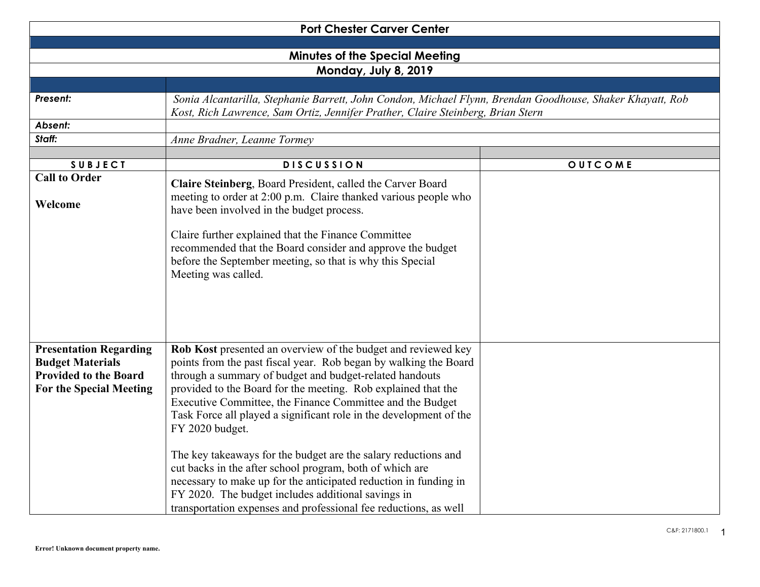| <b>Port Chester Carver Center</b>                                                                                          |                                                                                                                                                                                                                                                                                                                                                                                                                                                                                                                                                                                                                                                                                                                                                 |         |  |  |
|----------------------------------------------------------------------------------------------------------------------------|-------------------------------------------------------------------------------------------------------------------------------------------------------------------------------------------------------------------------------------------------------------------------------------------------------------------------------------------------------------------------------------------------------------------------------------------------------------------------------------------------------------------------------------------------------------------------------------------------------------------------------------------------------------------------------------------------------------------------------------------------|---------|--|--|
|                                                                                                                            |                                                                                                                                                                                                                                                                                                                                                                                                                                                                                                                                                                                                                                                                                                                                                 |         |  |  |
| <b>Minutes of the Special Meeting</b>                                                                                      |                                                                                                                                                                                                                                                                                                                                                                                                                                                                                                                                                                                                                                                                                                                                                 |         |  |  |
|                                                                                                                            | Monday, July 8, 2019                                                                                                                                                                                                                                                                                                                                                                                                                                                                                                                                                                                                                                                                                                                            |         |  |  |
|                                                                                                                            |                                                                                                                                                                                                                                                                                                                                                                                                                                                                                                                                                                                                                                                                                                                                                 |         |  |  |
| Present:                                                                                                                   | Sonia Alcantarilla, Stephanie Barrett, John Condon, Michael Flynn, Brendan Goodhouse, Shaker Khayatt, Rob<br>Kost, Rich Lawrence, Sam Ortiz, Jennifer Prather, Claire Steinberg, Brian Stern                                                                                                                                                                                                                                                                                                                                                                                                                                                                                                                                                    |         |  |  |
| Absent:                                                                                                                    |                                                                                                                                                                                                                                                                                                                                                                                                                                                                                                                                                                                                                                                                                                                                                 |         |  |  |
| Staff:                                                                                                                     | Anne Bradner, Leanne Tormey                                                                                                                                                                                                                                                                                                                                                                                                                                                                                                                                                                                                                                                                                                                     |         |  |  |
|                                                                                                                            |                                                                                                                                                                                                                                                                                                                                                                                                                                                                                                                                                                                                                                                                                                                                                 |         |  |  |
| <b>SUBJECT</b>                                                                                                             | <b>DISCUSSION</b>                                                                                                                                                                                                                                                                                                                                                                                                                                                                                                                                                                                                                                                                                                                               | OUTCOME |  |  |
| <b>Call to Order</b>                                                                                                       | Claire Steinberg, Board President, called the Carver Board                                                                                                                                                                                                                                                                                                                                                                                                                                                                                                                                                                                                                                                                                      |         |  |  |
| Welcome                                                                                                                    | meeting to order at 2:00 p.m. Claire thanked various people who<br>have been involved in the budget process.                                                                                                                                                                                                                                                                                                                                                                                                                                                                                                                                                                                                                                    |         |  |  |
|                                                                                                                            | Claire further explained that the Finance Committee<br>recommended that the Board consider and approve the budget<br>before the September meeting, so that is why this Special<br>Meeting was called.                                                                                                                                                                                                                                                                                                                                                                                                                                                                                                                                           |         |  |  |
| <b>Presentation Regarding</b><br><b>Budget Materials</b><br><b>Provided to the Board</b><br><b>For the Special Meeting</b> | Rob Kost presented an overview of the budget and reviewed key<br>points from the past fiscal year. Rob began by walking the Board<br>through a summary of budget and budget-related handouts<br>provided to the Board for the meeting. Rob explained that the<br>Executive Committee, the Finance Committee and the Budget<br>Task Force all played a significant role in the development of the<br>FY 2020 budget.<br>The key takeaways for the budget are the salary reductions and<br>cut backs in the after school program, both of which are<br>necessary to make up for the anticipated reduction in funding in<br>FY 2020. The budget includes additional savings in<br>transportation expenses and professional fee reductions, as well |         |  |  |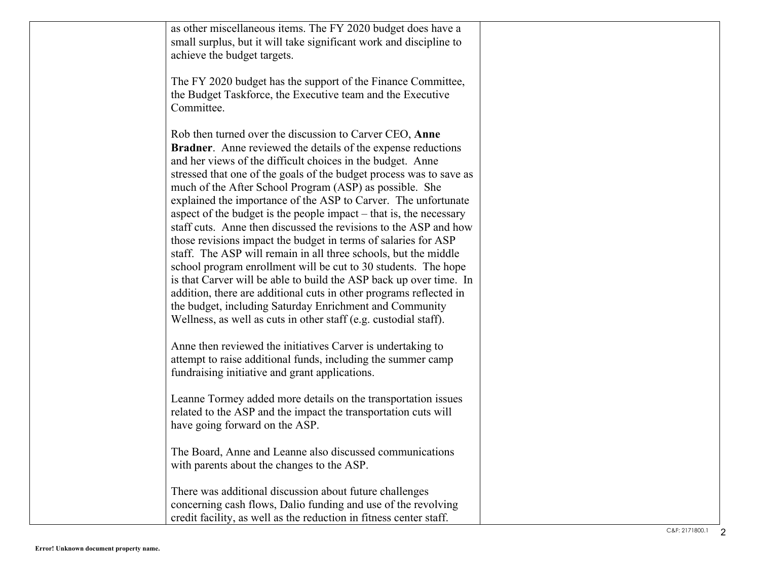| as other miscellaneous items. The FY 2020 budget does have a<br>small surplus, but it will take significant work and discipline to<br>achieve the budget targets.                                                                                                                                                                                                                                                                                                                                                                                                                                                                                                                                                                                                                                                                                                                                                                                                                                                            |  |
|------------------------------------------------------------------------------------------------------------------------------------------------------------------------------------------------------------------------------------------------------------------------------------------------------------------------------------------------------------------------------------------------------------------------------------------------------------------------------------------------------------------------------------------------------------------------------------------------------------------------------------------------------------------------------------------------------------------------------------------------------------------------------------------------------------------------------------------------------------------------------------------------------------------------------------------------------------------------------------------------------------------------------|--|
| The FY 2020 budget has the support of the Finance Committee,<br>the Budget Taskforce, the Executive team and the Executive<br>Committee.                                                                                                                                                                                                                                                                                                                                                                                                                                                                                                                                                                                                                                                                                                                                                                                                                                                                                     |  |
| Rob then turned over the discussion to Carver CEO, Anne<br><b>Bradner.</b> Anne reviewed the details of the expense reductions<br>and her views of the difficult choices in the budget. Anne<br>stressed that one of the goals of the budget process was to save as<br>much of the After School Program (ASP) as possible. She<br>explained the importance of the ASP to Carver. The unfortunate<br>aspect of the budget is the people impact – that is, the necessary<br>staff cuts. Anne then discussed the revisions to the ASP and how<br>those revisions impact the budget in terms of salaries for ASP<br>staff. The ASP will remain in all three schools, but the middle<br>school program enrollment will be cut to 30 students. The hope<br>is that Carver will be able to build the ASP back up over time. In<br>addition, there are additional cuts in other programs reflected in<br>the budget, including Saturday Enrichment and Community<br>Wellness, as well as cuts in other staff (e.g. custodial staff). |  |
| Anne then reviewed the initiatives Carver is undertaking to<br>attempt to raise additional funds, including the summer camp<br>fundraising initiative and grant applications.                                                                                                                                                                                                                                                                                                                                                                                                                                                                                                                                                                                                                                                                                                                                                                                                                                                |  |
| Leanne Tormey added more details on the transportation issues<br>related to the ASP and the impact the transportation cuts will<br>have going forward on the ASP.                                                                                                                                                                                                                                                                                                                                                                                                                                                                                                                                                                                                                                                                                                                                                                                                                                                            |  |
| The Board, Anne and Leanne also discussed communications<br>with parents about the changes to the ASP.                                                                                                                                                                                                                                                                                                                                                                                                                                                                                                                                                                                                                                                                                                                                                                                                                                                                                                                       |  |
| There was additional discussion about future challenges<br>concerning cash flows, Dalio funding and use of the revolving<br>credit facility, as well as the reduction in fitness center staff.                                                                                                                                                                                                                                                                                                                                                                                                                                                                                                                                                                                                                                                                                                                                                                                                                               |  |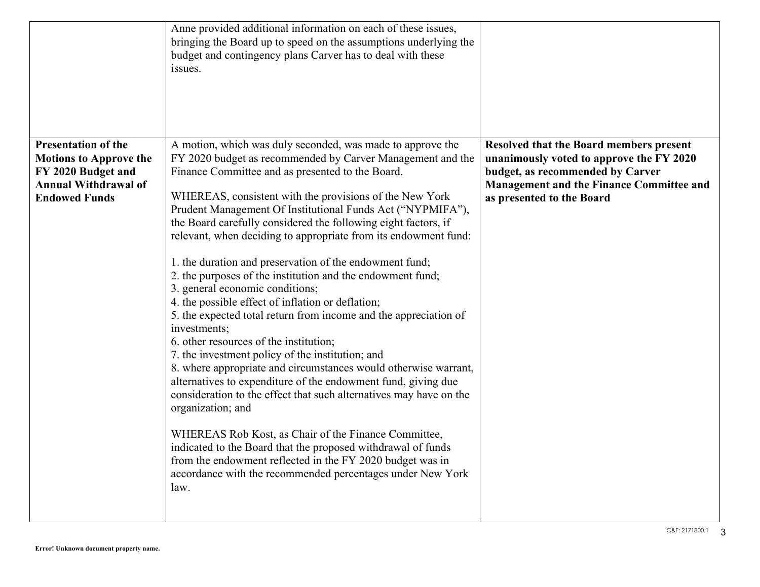|                                                             | Anne provided additional information on each of these issues,<br>bringing the Board up to speed on the assumptions underlying the<br>budget and contingency plans Carver has to deal with these<br>issues.                                              |                                                                                     |
|-------------------------------------------------------------|---------------------------------------------------------------------------------------------------------------------------------------------------------------------------------------------------------------------------------------------------------|-------------------------------------------------------------------------------------|
| <b>Presentation of the</b><br><b>Motions to Approve the</b> | A motion, which was duly seconded, was made to approve the<br>FY 2020 budget as recommended by Carver Management and the                                                                                                                                | Resolved that the Board members present<br>unanimously voted to approve the FY 2020 |
| FY 2020 Budget and<br><b>Annual Withdrawal of</b>           | Finance Committee and as presented to the Board.                                                                                                                                                                                                        | budget, as recommended by Carver<br>Management and the Finance Committee and        |
| <b>Endowed Funds</b>                                        | WHEREAS, consistent with the provisions of the New York<br>Prudent Management Of Institutional Funds Act ("NYPMIFA"),                                                                                                                                   | as presented to the Board                                                           |
|                                                             | the Board carefully considered the following eight factors, if<br>relevant, when deciding to appropriate from its endowment fund:                                                                                                                       |                                                                                     |
|                                                             | 1. the duration and preservation of the endowment fund;<br>2. the purposes of the institution and the endowment fund;                                                                                                                                   |                                                                                     |
|                                                             | 3. general economic conditions;<br>4. the possible effect of inflation or deflation;<br>5. the expected total return from income and the appreciation of                                                                                                |                                                                                     |
|                                                             | investments;<br>6. other resources of the institution;                                                                                                                                                                                                  |                                                                                     |
|                                                             | 7. the investment policy of the institution; and<br>8. where appropriate and circumstances would otherwise warrant,                                                                                                                                     |                                                                                     |
|                                                             | alternatives to expenditure of the endowment fund, giving due<br>consideration to the effect that such alternatives may have on the<br>organization; and                                                                                                |                                                                                     |
|                                                             | WHEREAS Rob Kost, as Chair of the Finance Committee,<br>indicated to the Board that the proposed withdrawal of funds<br>from the endowment reflected in the FY 2020 budget was in<br>accordance with the recommended percentages under New York<br>law. |                                                                                     |
|                                                             |                                                                                                                                                                                                                                                         |                                                                                     |